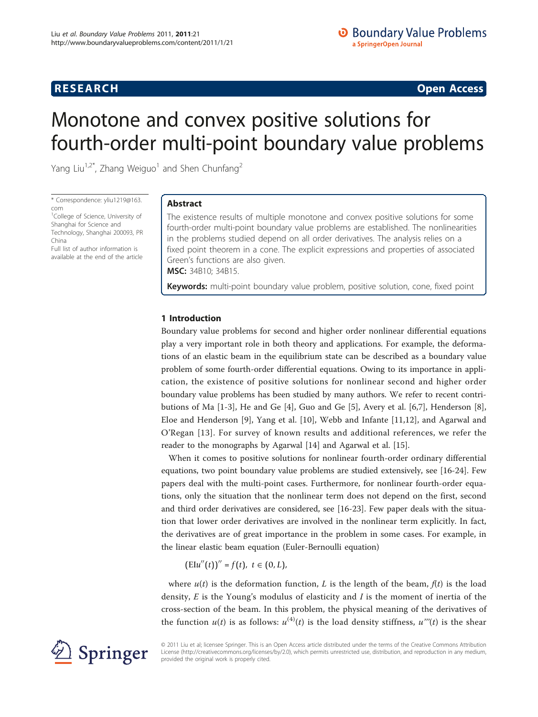**RESEARCH CONSTRUCTION CONSTRUCTS** 

# Monotone and convex positive solutions for fourth-order multi-point boundary value problems

Yang Liu<sup>1,2\*</sup>, Zhang Weiguo<sup>1</sup> and Shen Chunfang<sup>2</sup>

\* Correspondence: [yliu1219@163.](mailto:yliu1219@163.com) [com](mailto:yliu1219@163.com)

<sup>1</sup>College of Science, University of Shanghai for Science and Technology, Shanghai 200093, PR China Full list of author information is

available at the end of the article

Abstract

The existence results of multiple monotone and convex positive solutions for some fourth-order multi-point boundary value problems are established. The nonlinearities in the problems studied depend on all order derivatives. The analysis relies on a fixed point theorem in a cone. The explicit expressions and properties of associated Green's functions are also given. MSC: 34B10; 34B15.

Keywords: multi-point boundary value problem, positive solution, cone, fixed point

# 1 Introduction

Boundary value problems for second and higher order nonlinear differential equations play a very important role in both theory and applications. For example, the deformations of an elastic beam in the equilibrium state can be described as a boundary value problem of some fourth-order differential equations. Owing to its importance in application, the existence of positive solutions for nonlinear second and higher order boundary value problems has been studied by many authors. We refer to recent contributions of Ma [[1-](#page-10-0)[3](#page-11-0)], He and Ge [[4\]](#page-11-0), Guo and Ge [[5\]](#page-11-0), Avery et al. [\[6,7](#page-11-0)], Henderson [\[8](#page-11-0)], Eloe and Henderson [\[9](#page-11-0)], Yang et al. [\[10](#page-11-0)], Webb and Infante [[11,12\]](#page-11-0), and Agarwal and O'Regan [[13\]](#page-11-0). For survey of known results and additional references, we refer the reader to the monographs by Agarwal [\[14](#page-11-0)] and Agarwal et al. [[15](#page-11-0)].

When it comes to positive solutions for nonlinear fourth-order ordinary differential equations, two point boundary value problems are studied extensively, see [[16](#page-11-0)-[24\]](#page-11-0). Few papers deal with the multi-point cases. Furthermore, for nonlinear fourth-order equations, only the situation that the nonlinear term does not depend on the first, second and third order derivatives are considered, see [[16-23\]](#page-11-0). Few paper deals with the situation that lower order derivatives are involved in the nonlinear term explicitly. In fact, the derivatives are of great importance in the problem in some cases. For example, in the linear elastic beam equation (Euler-Bernoulli equation)

 $(EIu''(t))'' = f(t), t \in (0, L),$ 

where  $u(t)$  is the deformation function, L is the length of the beam,  $f(t)$  is the load density,  $E$  is the Young's modulus of elasticity and  $I$  is the moment of inertia of the cross-section of the beam. In this problem, the physical meaning of the derivatives of the function  $u(t)$  is as follows:  $u^{(4)}(t)$  is the load density stiffness,  $u'''(t)$  is the shear



© 2011 Liu et al; licensee Springer. This is an Open Access article distributed under the terms of the Creative Commons Attribution License [\(http://creativecommons.org/licenses/by/2.0](http://creativecommons.org/licenses/by/2.0)), which permits unrestricted use, distribution, and reproduction in any medium, provided the original work is properly cited.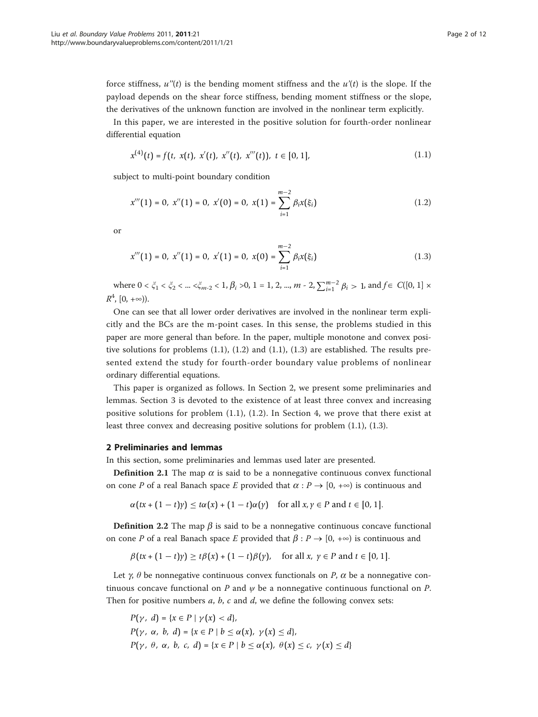force stiffness,  $u''(t)$  is the bending moment stiffness and the  $u'(t)$  is the slope. If the payload depends on the shear force stiffness, bending moment stiffness or the slope, the derivatives of the unknown function are involved in the nonlinear term explicitly.

In this paper, we are interested in the positive solution for fourth-order nonlinear differential equation

$$
x^{(4)}(t) = f(t, x(t), x'(t), x''(t), x'''(t)), t \in [0, 1],
$$
\n(1.1)

subject to multi-point boundary condition

$$
x'''(1) = 0, \ x''(1) = 0, \ x'(0) = 0, \ x(1) = \sum_{i=1}^{m-2} \beta_i x(\xi_i)
$$
 (1.2)

or

$$
x'''(1) = 0, \ x''(1) = 0, \ x'(1) = 0, \ x(0) = \sum_{i=1}^{m-2} \beta_i x(\xi_i)
$$
 (1.3)

where  $0 < \xi_1 < \xi_2 < ... < \xi_{m-2} < 1$ ,  $\beta_i > 0$ , 1 = 1, 2, ...,  $m - 2$ ,  $\sum_{i=1}^{m-2} \beta_i > 1$ , and  $f \in C([0, 1] \times$  $R^4$ ,  $[0, +\infty)$ ).

One can see that all lower order derivatives are involved in the nonlinear term explicitly and the BCs are the m-point cases. In this sense, the problems studied in this paper are more general than before. In the paper, multiple monotone and convex positive solutions for problems (1.1), (1.2) and (1.1), (1.3) are established. The results presented extend the study for fourth-order boundary value problems of nonlinear ordinary differential equations.

This paper is organized as follows. In Section 2, we present some preliminaries and lemmas. Section 3 is devoted to the existence of at least three convex and increasing positive solutions for problem (1.1), (1.2). In Section 4, we prove that there exist at least three convex and decreasing positive solutions for problem (1.1), (1.3).

# 2 Preliminaries and lemmas

In this section, some preliminaries and lemmas used later are presented.

**Definition 2.1** The map  $\alpha$  is said to be a nonnegative continuous convex functional on cone P of a real Banach space E provided that  $\alpha : P \to [0, +\infty)$  is continuous and

 $\alpha(tx + (1-t)y) \leq t\alpha(x) + (1-t)\alpha(y)$  for all  $x, y \in P$  and  $t \in [0, 1]$ .

**Definition 2.2** The map  $\beta$  is said to be a nonnegative continuous concave functional on cone P of a real Banach space E provided that  $\beta : P \to [0, +\infty)$  is continuous and

$$
\beta(tx+(1-t)y)\geq t\beta(x)+(1-t)\beta(y),\quad\text{for all }x,\ y\in P\text{ and }t\in[0,1].
$$

Let  $\gamma$ ,  $\theta$  be nonnegative continuous convex functionals on P,  $\alpha$  be a nonnegative continuous concave functional on P and  $\psi$  be a nonnegative continuous functional on P. Then for positive numbers  $a$ ,  $b$ ,  $c$  and  $d$ , we define the following convex sets:

$$
P(\gamma, d) = \{x \in P \mid \gamma(x) < d\},
$$
\n
$$
P(\gamma, \alpha, b, d) = \{x \in P \mid b \leq \alpha(x), \gamma(x) \leq d\},
$$
\n
$$
P(\gamma, \theta, \alpha, b, c, d) = \{x \in P \mid b \leq \alpha(x), \theta(x) \leq c, \gamma(x) \leq d\}
$$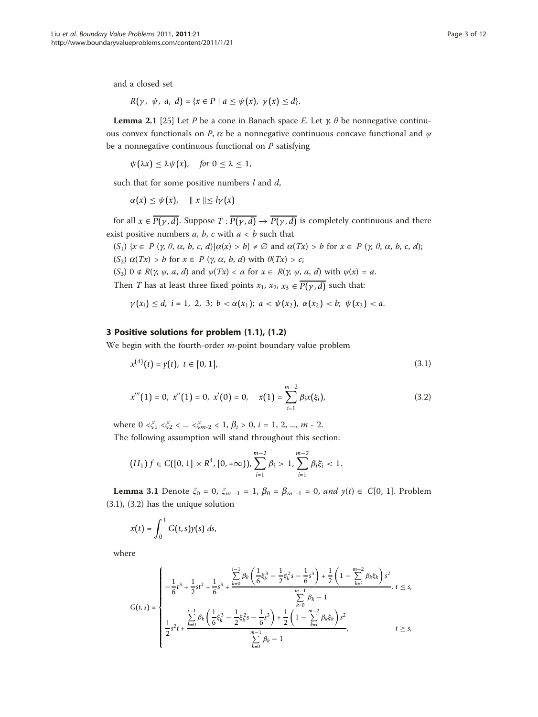and a closed set

$$
R(\gamma, \psi, a, d) = \{x \in P \mid a \leq \psi(x), \gamma(x) \leq d\}.
$$

**Lemma 2.1** [\[25\]](#page-11-0) Let P be a cone in Banach space E. Let  $\gamma$ ,  $\theta$  be nonnegative continuous convex functionals on P,  $\alpha$  be a nonnegative continuous concave functional and  $\psi$ be a nonnegative continuous functional on  $P$  satisfying

$$
\psi(\lambda x)\leq \lambda \psi(x), \quad \text{for } 0\leq \lambda\leq 1,
$$

such that for some positive numbers  $l$  and  $d$ ,

$$
\alpha(x) \leq \psi(x), \quad || x || \leq l\gamma(x)
$$

for all  $x \in \overline{P(\gamma, d)}$ . Suppose  $T : \overline{P(\gamma, d)} \to \overline{P(\gamma, d)}$  is completely continuous and there exist positive numbers  $a, b, c$  with  $a < b$  such that

 $(S_1) \{x \in P \, (\gamma, \theta, \alpha, b, c, d) | \alpha(x) > b\} \neq \emptyset$  and  $\alpha(Tx) > b$  for  $x \in P \, (\gamma, \theta, \alpha, b, c, d)$ ; (S<sub>2</sub>)  $\alpha(Tx) > b$  for  $x \in P$  ( $\gamma$ ,  $\alpha$ ,  $b$ ,  $d$ ) with  $\theta(Tx) > c$ ;

(S<sub>3</sub>)  $0 \notin R(\gamma, \psi, a, d)$  and  $\psi(Tx) < a$  for  $x \in R(\gamma, \psi, a, d)$  with  $\psi(x) = a$ .

Then *T* has at least three fixed points  $x_1$ ,  $x_2$ ,  $x_3 \n\in \overline{P(\gamma, d)}$  such that:

$$
\gamma(x_i) \leq d, \ i = 1, \ 2, \ 3; \ b < \alpha(x_1); \ a < \psi(x_2), \ \alpha(x_2) < b; \ \psi(x_3) < a.
$$

## 3 Positive solutions for problem (1.1), (1.2)

We begin with the fourth-order  $m$ -point boundary value problem

$$
x^{(4)}(t) = y(t), \ t \in [0, 1], \tag{3.1}
$$

$$
x'''(1) = 0, x''(1) = 0, x'(0) = 0, x(1) = \sum_{i=1}^{m-2} \beta_i x(\xi_i),
$$
\n(3.2)

where  $0 \le \xi_1 \le \xi_2 \le ... \le \xi_{m-2} \le 1$ ,  $\beta_i > 0$ ,  $i = 1, 2, ..., m - 2$ . The following assumption will stand throughout this section:

$$
(H_1)\,f\in C([0,1]\times R^4,[0,+\infty)),\sum_{i=1}^{m-2}\beta_i>1,\sum_{i=1}^{m-2}\beta_i\xi_i<1.
$$

**Lemma 3.1** Denote  $\xi_0 = 0$ ,  $\xi_{m-1} = 1$ ,  $\beta_0 = \beta_{m-1} = 0$ , and  $y(t) \in C[0, 1]$ . Problem (3.1), (3.2) has the unique solution

$$
x(t) = \int_0^1 G(t,s) \gamma(s) \ ds,
$$

where

$$
G(t,s) = \begin{cases} -\frac{1}{6}t^3 + \frac{1}{2}st^2 + \frac{1}{6}s^3 + \frac{k=0}{6}\theta_k\left(\frac{1}{6}\xi_k^3 - \frac{1}{2}\xi_k^2s - \frac{1}{6}s^3\right) + \frac{1}{2}\left(1 - \sum_{k=i}^{m-2} \beta_k\xi_k\right)s^2\\ -\frac{1}{6}\xi_k^3 + \frac{1}{2}s^2t + \frac{k=0}{6}\theta_k\left(\frac{1}{6}\xi_k^3 - \frac{1}{2}\xi_k^2s - \frac{1}{6}s^3\right) + \frac{1}{2}\left(1 - \sum_{k=i}^{m-2} \beta_k\xi_k\right)s^2\\ \frac{1}{2}s^2t + \frac{k=0}{6}\theta_k\left(\frac{1}{6}\xi_k^3 - \frac{1}{2}\xi_k^2s - \frac{1}{6}s^3\right) + \frac{1}{2}\left(1 - \sum_{k=i}^{m-2} \beta_k\xi_k\right)s^2\\ -\sum_{k=0}^{m-1} \beta_k - 1, & t \ge s, \end{cases}
$$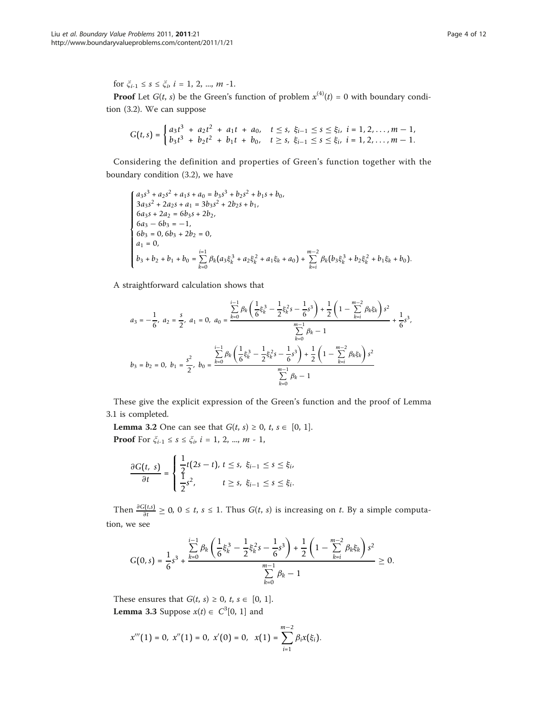for  $\xi_{i-1} \leq s \leq \xi_i$ ,  $i = 1, 2, ..., m -1$ .

**Proof** Let  $G(t, s)$  be the Green's function of problem  $x^{(4)}(t) = 0$  with boundary condition (3.2). We can suppose

$$
G(t,s) = \begin{cases} a_3t^3 + a_2t^2 + a_1t + a_0, & t \leq s, \xi_{i-1} \leq s \leq \xi_i, \ i = 1,2,\dots, m-1, \\ b_3t^3 + b_2t^2 + b_1t + b_0, & t \geq s, \xi_{i-1} \leq s \leq \xi_i, \ i = 1,2,\dots, m-1. \end{cases}
$$

Considering the definition and properties of Green's function together with the boundary condition (3.2), we have

$$
\begin{cases}\na_3s^3 + a_2s^2 + a_1s + a_0 = b_3s^3 + b_2s^2 + b_1s + b_0, \\
3a_3s^2 + 2a_2s + a_1 = 3b_3s^2 + 2b_2s + b_1, \\
6a_3s + 2a_2 = 6b_3s + 2b_2, \\
6a_3 - 6b_3 = -1, \\
6b_3 = 0, 6b_3 + 2b_2 = 0, \\
a_1 = 0, \\
b_3 + b_2 + b_1 + b_0 = \sum_{k=0}^{i=1} \beta_k(a_3\xi_k^3 + a_2\xi_k^2 + a_1\xi_k + a_0) + \sum_{k=i}^{m-2} \beta_k(b_3\xi_k^3 + b_2\xi_k^2 + b_1\xi_k + b_0).\n\end{cases}
$$

A straightforward calculation shows that

$$
a_3 = -\frac{1}{6}, \ a_2 = \frac{s}{2}, \ a_1 = 0, \ a_0 = \frac{\sum\limits_{k=0}^{i-1} \beta_k \left(\frac{1}{6} \xi_k^3 - \frac{1}{2} \xi_k^2 s - \frac{1}{6} s^3\right) + \frac{1}{2} \left(1 - \sum\limits_{k=i}^{m-2} \beta_k \xi_k\right) s^2}{\sum\limits_{k=0}^{m-1} \beta_k - 1} + \frac{1}{6} s^3,
$$
  

$$
b_3 = b_2 = 0, \ b_1 = \frac{s^2}{2}, \ b_0 = \frac{\sum\limits_{k=0}^{i-1} \beta_k \left(\frac{1}{6} \xi_k^3 - \frac{1}{2} \xi_k^2 s - \frac{1}{6} s^3\right) + \frac{1}{2} \left(1 - \sum\limits_{k=i}^{m-2} \beta_k \xi_k\right) s^2}{\sum\limits_{k=0}^{m-1} \beta_k - 1}
$$

These give the explicit expression of the Green's function and the proof of Lemma 3.1 is completed.

**Lemma 3.2** One can see that  $G(t, s) \ge 0, t, s \in [0, 1].$ **Proof** For  $\xi_{i-1} \leq s \leq \xi_i$ ,  $i = 1, 2, ..., m - 1$ ,

$$
\frac{\partial G(t, s)}{\partial t} = \begin{cases} \frac{1}{2}t(2s - t), \, t \le s, \, \xi_{i-1} \le s \le \xi_i, \\ \frac{1}{2}s^2, \, t \ge s, \, \xi_{i-1} \le s \le \xi_i. \end{cases}
$$

Then  $\frac{\partial G(t,s)}{\partial t} \ge 0$ ,  $0 \le t$ ,  $s \le 1$ . Thus  $G(t, s)$  is increasing on t. By a simple computation, we see

$$
G(0,s) = \frac{1}{6}s^3 + \frac{\sum\limits_{k=0}^{i-1} \beta_k \left( \frac{1}{6} \xi_k^3 - \frac{1}{2} \xi_k^2 s - \frac{1}{6} s^3 \right) + \frac{1}{2} \left( 1 - \sum\limits_{k=i}^{m-2} \beta_k \xi_k \right) s^2}{\sum\limits_{k=0}^{m-1} \beta_k - 1} \geq 0.
$$

These ensures that  $G(t, s) \geq 0$ ,  $t, s \in [0, 1]$ . **Lemma 3.3** Suppose  $x(t) \in C^3[0, 1]$  and

$$
x'''(1) = 0, \ x''(1) = 0, \ x'(0) = 0, \ x(1) = \sum_{i=1}^{m-2} \beta_i x(\xi_i).
$$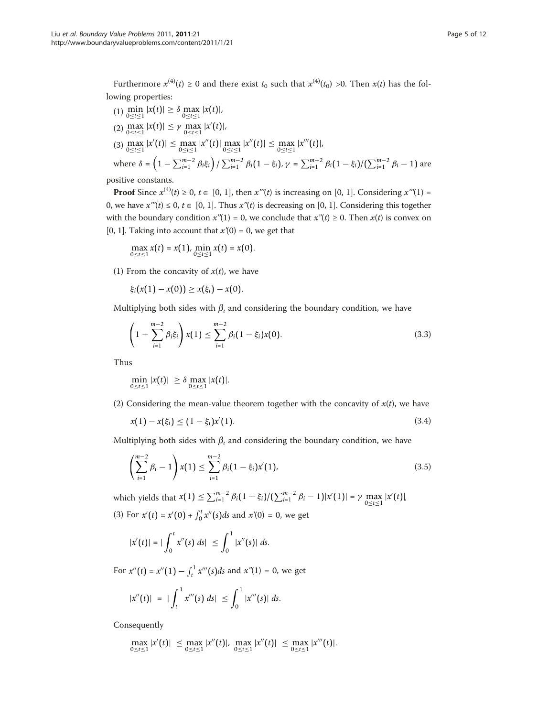Furthermore  $x^{(4)}(t) \ge 0$  and there exist  $t_0$  such that  $x^{(4)}(t_0) > 0$ . Then  $x(t)$  has the following properties:

(1) 
$$
\min_{0 \le t \le 1} |x(t)| \ge \delta \max_{0 \le t \le 1} |x(t)|,
$$
  
\n(2) 
$$
\max_{0 \le t \le 1} |x(t)| \le \gamma \max_{0 \le t \le 1} |x'(t)|,
$$
  
\n(3) 
$$
\max_{0 \le t \le 1} |x'(t)| \le \max_{0 \le t \le 1} |x''(t)| \max_{0 \le t \le 1} |x''(t)| \le \max_{0 \le t \le 1} |x'''(t)|,
$$
  
\nwhere  $\delta = \left(1 - \sum_{i=1}^{m-2} \beta_i \xi_i\right) / \sum_{i=1}^{m-2} \beta_i (1 - \xi_i), \gamma = \sum_{i=1}^{m-2} \beta_i (1 - \xi_i) / (\sum_{i=1}^{m-2} \beta_i - 1)$  are  
\nneitive constants

positive constants.

**Proof** Since  $x^{(4)}(t) \ge 0$ ,  $t \in [0, 1]$ , then  $x'''(t)$  is increasing on [0, 1]. Considering  $x'''(1) =$ 0, we have  $x'''(t) \le 0, t \in [0, 1]$ . Thus  $x''(t)$  is decreasing on [0, 1]. Considering this together with the boundary condition  $x''(1) = 0$ , we conclude that  $x''(t) \ge 0$ . Then  $x(t)$  is convex on [0, 1]. Taking into account that  $x'(0) = 0$ , we get that

$$
\max_{0 \leq t \leq 1} x(t) = x(1), \min_{0 \leq t \leq 1} x(t) = x(0).
$$

(1) From the concavity of  $x(t)$ , we have

 $\xi_i(x(1) - x(0)) \geq x(\xi_i) - x(0).$ 

Multiplying both sides with  $\beta_i$  and considering the boundary condition, we have

$$
\left(1 - \sum_{i=1}^{m-2} \beta_i \xi_i\right) x(1) \le \sum_{i=1}^{m-2} \beta_i (1 - \xi_i) x(0). \tag{3.3}
$$

Thus

$$
\min_{0 \le t \le 1} |x(t)| \ge \delta \max_{0 \le t \le 1} |x(t)|.
$$

(2) Considering the mean-value theorem together with the concavity of  $x(t)$ , we have

$$
x(1) - x(\xi_i) \le (1 - \xi_i)x'(1). \tag{3.4}
$$

Multiplying both sides with  $\beta_i$  and considering the boundary condition, we have

$$
\left(\sum_{i=1}^{m-2} \beta_i - 1\right) x(1) \le \sum_{i=1}^{m-2} \beta_i (1 - \xi_i) x'(1), \tag{3.5}
$$

which yields that  $x(1) \le \sum_{i=1}^{m-2} \beta_i(1-\xi_i)/(\sum_{i=1}^{m-2} \beta_i - 1)|x'(1)| = \gamma \max_{0 \le t \le 1} |x'(t)|$ . (3) For  $x'(t) = x'(0) + \int_0^t x''(s)ds$  and  $x'(0) = 0$ , we get

$$
|x'(t)| = |\int_0^t x''(s) \ ds| \leq \int_0^1 |x''(s)| \ ds.
$$

For  $x''(t) = x''(1) - \int_t^1 x'''(s)ds$  and  $x''(1) = 0$ , we get

$$
|x''(t)| = |\int_t^1 x'''(s) \ ds| \leq \int_0^1 |x'''(s)| \ ds.
$$

Consequently

$$
\max_{0 \leq t \leq 1} |x'(t)| \leq \max_{0 \leq t \leq 1} |x''(t)|, \max_{0 \leq t \leq 1} |x''(t)| \leq \max_{0 \leq t \leq 1} |x'''(t)|.
$$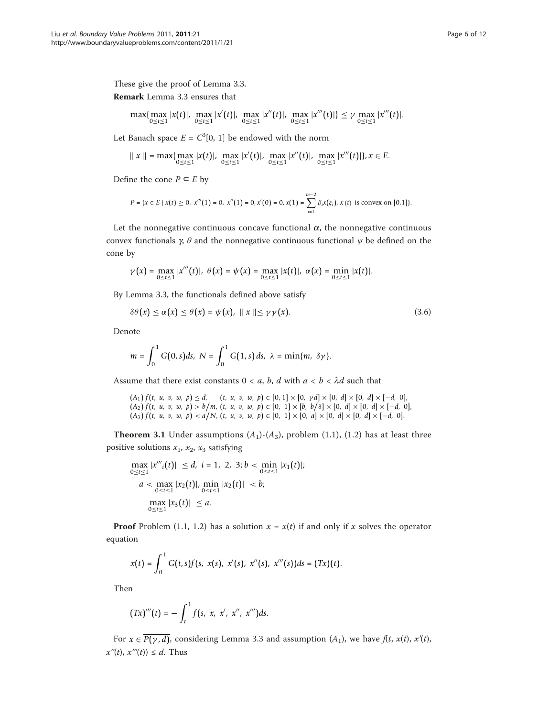These give the proof of Lemma 3.3. Remark Lemma 3.3 ensures that

$$
\max\{\max_{0\leq t\leq 1}|x(t)|,\max_{0\leq t\leq 1}|x'(t)|,\max_{0\leq t\leq 1}|x''(t)|,\max_{0\leq t\leq 1}|x'''(t)|\}\leq \gamma \max_{0\leq t\leq 1}|x'''(t)|.
$$

Let Banach space  $E = C^3[0, 1]$  be endowed with the norm

$$
\|x\| = \max\{\max_{0\leq t\leq 1}|x(t)|, \max_{0\leq t\leq 1}|x'(t)|, \max_{0\leq t\leq 1}|x''(t)|, \max_{0\leq t\leq 1}|x'''(t)|\}, x\in E.
$$

Define the cone  $P \subseteq E$  by

$$
P = \{x \in E \mid x(t) \ge 0, \ x'''(1) = 0, \ x''(1) = 0, x'(0) = 0, x(1) = \sum_{i=1}^{m-2} \beta_i x(\xi_i), \ x(t) \text{ is convex on } [0,1]\}.
$$

Let the nonnegative continuous concave functional  $\alpha$ , the nonnegative continuous convex functionals  $\gamma$ ,  $\theta$  and the nonnegative continuous functional  $\psi$  be defined on the cone by

$$
\gamma(x) = \max_{0 \leq t \leq 1} |x'''(t)|, \ \theta(x) = \psi(x) = \max_{0 \leq t \leq 1} |x(t)|, \ \alpha(x) = \min_{0 \leq t \leq 1} |x(t)|.
$$

By Lemma 3.3, the functionals defined above satisfy

$$
\delta\theta(x) \le \alpha(x) \le \theta(x) = \psi(x), \parallel x \parallel \le \gamma\gamma(x). \tag{3.6}
$$

Denote

$$
m = \int_0^1 G(0, s) ds, \ N = \int_0^1 G(1, s) ds, \ \lambda = \min\{m, \ \delta \gamma\}.
$$

Assume that there exist constants  $0 < a$ , b, d with  $a < b < \lambda$ d such that

$$
(A_1) f(t, u, v, w, p) \le d, \quad (t, u, v, w, p) \in [0, 1] \times [0, \gamma d] \times [0, d] \times [0, d] \times [-d, 0],
$$
  

$$
(A_2) f(t, u, v, w, p) > b/m, (t, u, v, w, p) \in [0, 1] \times [b, b/\delta] \times [0, d] \times [0, d] \times [-d, 0],
$$
  

$$
(A_3) f(t, u, v, w, p) < a/N, (t, u, v, w, p) \in [0, 1] \times [0, a] \times [0, d] \times [0, d] \times [-d, 0].
$$

**Theorem 3.1** Under assumptions  $(A_1)$ - $(A_3)$ , problem (1.1), (1.2) has at least three positive solutions  $x_1$ ,  $x_2$ ,  $x_3$  satisfying

$$
\max_{0 \le t \le 1} |x''_i(t)| \le d, \ i = 1, 2, 3; b < \min_{0 \le t \le 1} |x_1(t)|; \\
 a < \max_{0 \le t \le 1} |x_2(t)|, \min_{0 \le t \le 1} |x_2(t)| < b; \\
 \max_{0 \le t < 1} |x_3(t)| \le a.
$$

**Proof** Problem (1.1, 1.2) has a solution  $x = x(t)$  if and only if x solves the operator equation

$$
x(t) = \int_0^1 G(t,s)f(s, x(s), x'(s), x''(s), x'''(s))ds = (Tx)(t).
$$

Then

$$
(Tx)'''(t) = -\int_t^1 f(s, x, x', x'', x''')ds.
$$

For  $x \in \overline{P(\gamma, d)}$ , considering Lemma 3.3 and assumption  $(A_1)$ , we have  $f(t, x(t), x'(t))$ ,  $x''(t)$ ,  $x'''(t)$ )  $\leq d$ . Thus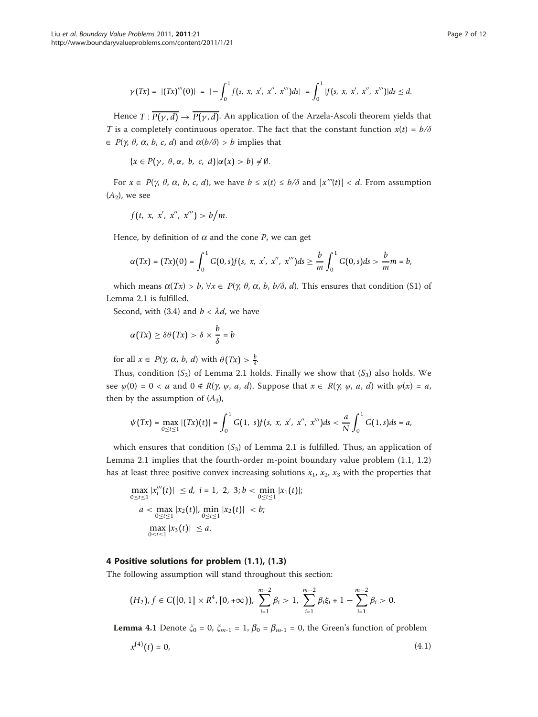$$
\gamma(Tx) = |(Tx)'''(0)| = |-\int_0^1 f(s, x, x', x'', x''')ds| = \int_0^1 |f(s, x, x', x'', x''')|ds \leq d.
$$

Hence  $T: \overline{P(\gamma, d)} \to \overline{P(\gamma, d)}$ . An application of the Arzela-Ascoli theorem yields that T is a completely continuous operator. The fact that the constant function  $x(t) = b/\delta$  $\in P(\gamma, \theta, \alpha, b, c, d)$  and  $\alpha(b/\delta) > b$  implies that

 ${x \in P(\gamma, \theta, \alpha, b, c, d)|\alpha(x) > b} \neq \emptyset.$ 

For  $x \in P(\gamma, \theta, \alpha, b, c, d)$ , we have  $b \leq x(t) \leq b/\delta$  and  $|x'''(t)| < d$ . From assumption  $(A_2)$ , we see

*f* (*t*, *x*, *x*-, *x*--, *x*---) > *b m*.

Hence, by definition of  $\alpha$  and the cone P, we can get

$$
\alpha(Tx) = (Tx)(0) = \int_0^1 G(0, s)f(s, x, x', x'', x''')ds \geq \frac{b}{m}\int_0^1 G(0, s)ds > \frac{b}{m}m = b,
$$

which means  $\alpha(Tx) > b$ ,  $\forall x \in P(\gamma, \theta, \alpha, b, b/\delta, d)$ . This ensures that condition (S1) of Lemma 2.1 is fulfilled.

Second, with (3.4) and  $b < \lambda d$ , we have

$$
\alpha(Tx) \ge \delta\theta(Tx) > \delta \times \frac{b}{\delta} = b
$$

for all  $x \in P(\gamma, \alpha, b, d)$  with  $\theta(Tx) > \frac{b}{\delta}$ .

Thus, condition  $(S_2)$  of Lemma 2.1 holds. Finally we show that  $(S_3)$  also holds. We see  $\psi(0) = 0 < a$  and  $0 \notin R(\gamma, \psi, a, d)$ . Suppose that  $x \in R(\gamma, \psi, a, d)$  with  $\psi(x) = a$ , then by the assumption of  $(A_3)$ ,

$$
\psi(Tx) = \max_{0 \leq t \leq 1} |(Tx)(t)| = \int_0^1 G(1, s) f(s, x, x', x'', x''') ds < \frac{a}{N} \int_0^1 G(1, s) ds = a,
$$

which ensures that condition  $(S_3)$  of Lemma 2.1 is fulfilled. Thus, an application of Lemma 2.1 implies that the fourth-order m-point boundary value problem (1.1, 1.2) has at least three positive convex increasing solutions  $x_1$ ,  $x_2$ ,  $x_3$  with the properties that

$$
\max_{0 \le t \le 1} |x_i'''(t)| \le d, \ i = 1, 2, 3; b < \min_{0 \le t \le 1} |x_1(t)|;
$$
\n
$$
a < \max_{0 \le t \le 1} |x_2(t)|, \min_{0 \le t \le 1} |x_2(t)| < b;
$$
\n
$$
\max_{0 \le t \le 1} |x_3(t)| \le a.
$$

# 4 Positive solutions for problem (1.1), (1.3)

The following assumption will stand throughout this section:

$$
(H_2), f \in C([0,1] \times R^4, [0,+\infty)), \sum_{i=1}^{m-2} \beta_i > 1, \sum_{i=1}^{m-2} \beta_i \xi_i + 1 - \sum_{i=1}^{m-2} \beta_i > 0.
$$

**Lemma 4.1** Denote  $\zeta_0 = 0$ ,  $\zeta_{m-1} = 1$ ,  $\beta_0 = \beta_{m-1} = 0$ , the Green's function of problem

$$
x^{(4)}(t) = 0,\t\t(4.1)
$$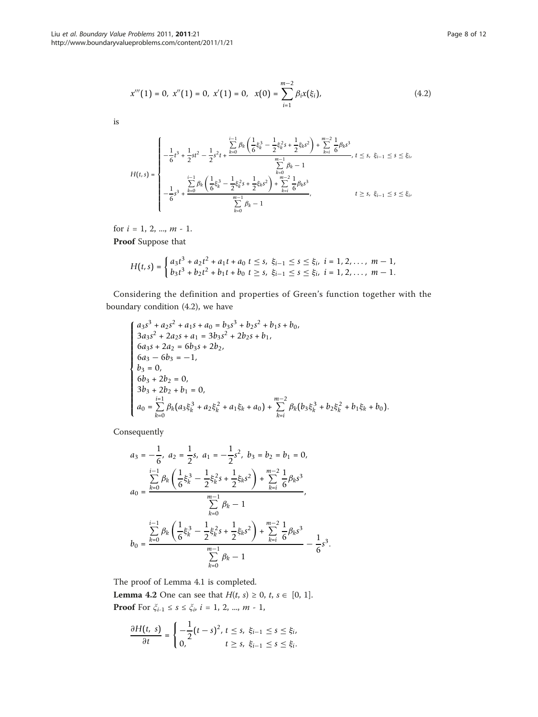$$
x'''(1) = 0, x''(1) = 0, x'(1) = 0, x(0) = \sum_{i=1}^{m-2} \beta_i x(\xi_i),
$$
\n(4.2)

is

$$
H(t,s) = \begin{cases} -\frac{1}{6}t^3 + \frac{1}{2}st^2 - \frac{1}{2}s^2t + \frac{k=0}{6}\frac{\sum_{k=0}^{i-1}\beta_k\left(\frac{1}{6}\xi_k^3 - \frac{1}{2}\xi_k^2s + \frac{1}{2}\xi_ks^2\right) + \sum_{k=i}^{m-2}\frac{1}{6}\beta_ks^3}{\sum_{k=0}^{m-1}\beta_k - 1}, & t \le s, \xi_{i-1} \le s \le \xi_i, \\ -\frac{1}{6}s^3 + \frac{\sum_{k=0}^{i-1}\beta_k\left(\frac{1}{6}\xi_k^3 - \frac{1}{2}\xi_k^2s + \frac{1}{2}\xi_ks^2\right) + \sum_{k=i}^{m-2}\frac{1}{6}\beta_ks^3}{\sum_{k=0}^{m-1}\beta_k - 1}, & t \ge s, \xi_{i-1} \le s \le \xi_i, \\ -\frac{1}{6}s^3 + \frac{\sum_{k=0}^{i-1}\beta_k\left(\frac{1}{6}\xi_k^3 - \frac{1}{2}\xi_k^2s + \frac{1}{2}\xi_ks^2\right) + \sum_{k=i}^{m-2}\frac{1}{6}\beta_ks^3}{\sum_{k=0}^{m-1}\beta_k - 1}, & t \ge s, \xi_{i-1} \le s \le \xi_i, \end{cases}
$$

for  $i = 1, 2, ..., m - 1$ .

Proof Suppose that

$$
H(t,s) = \begin{cases} a_3t^3 + a_2t^2 + a_1t + a_0 \ t \leq s, & \xi_{i-1} \leq s \leq \xi_i, \ i = 1, 2, \dots, \ m-1, \\ b_3t^3 + b_2t^2 + b_1t + b_0 \ t \geq s, & \xi_{i-1} \leq s \leq \xi_i, \ i = 1, 2, \dots, \ m-1. \end{cases}
$$

Considering the definition and properties of Green's function together with the boundary condition (4.2), we have

$$
\begin{cases}\na_3s^3 + a_2s^2 + a_1s + a_0 = b_3s^3 + b_2s^2 + b_1s + b_0, \\
3a_3s^2 + 2a_2s + a_1 = 3b_3s^2 + 2b_2s + b_1, \\
6a_3s + 2a_2 = 6b_3s + 2b_2, \\
6a_3 - 6b_3 = -1, \\
b_3 = 0, \\
6b_3 + 2b_2 = 0, \\
3b_3 + 2b_2 + b_1 = 0, \\
a_0 = \sum_{k=0}^{i=1} \beta_k(a_3\xi_k^3 + a_2\xi_k^2 + a_1\xi_k + a_0) + \sum_{k=i}^{m-2} \beta_k(b_3\xi_k^3 + b_2\xi_k^2 + b_1\xi_k + b_0).\n\end{cases}
$$

Consequently

$$
a_3 = -\frac{1}{6}, \ a_2 = \frac{1}{2}s, \ a_1 = -\frac{1}{2}s^2, \ b_3 = b_2 = b_1 = 0,
$$
  

$$
a_0 = \frac{\sum_{k=0}^{i-1} \beta_k \left(\frac{1}{6}\xi_k^3 - \frac{1}{2}\xi_k^2 s + \frac{1}{2}\xi_k s^2\right) + \sum_{k=i}^{m-2} \frac{1}{6}\beta_k s^3}{\sum_{k=0}^{m-1} \beta_k - 1},
$$
  

$$
b_0 = \frac{\sum_{k=0}^{i-1} \beta_k \left(\frac{1}{6}\xi_k^3 - \frac{1}{2}\xi_k^2 s + \frac{1}{2}\xi_k s^2\right) + \sum_{k=i}^{m-2} \frac{1}{6}\beta_k s^3}{\sum_{k=0}^{m-1} \beta_k - 1} - \frac{1}{6}s^3.
$$

The proof of Lemma 4.1 is completed.

**Lemma 4.2** One can see that  $H(t, s) \ge 0, t, s \in [0, 1].$ **Proof** For  $\xi_{i-1} \leq s \leq \xi_i$ ,  $i = 1, 2, ..., m - 1$ ,

$$
\frac{\partial H(t, s)}{\partial t} = \begin{cases} -\frac{1}{2}(t - s)^2, & t \leq s, \ \xi_{i-1} \leq s \leq \xi_i, \\ 0, & t \geq s, \ \xi_{i-1} \leq s \leq \xi_i. \end{cases}
$$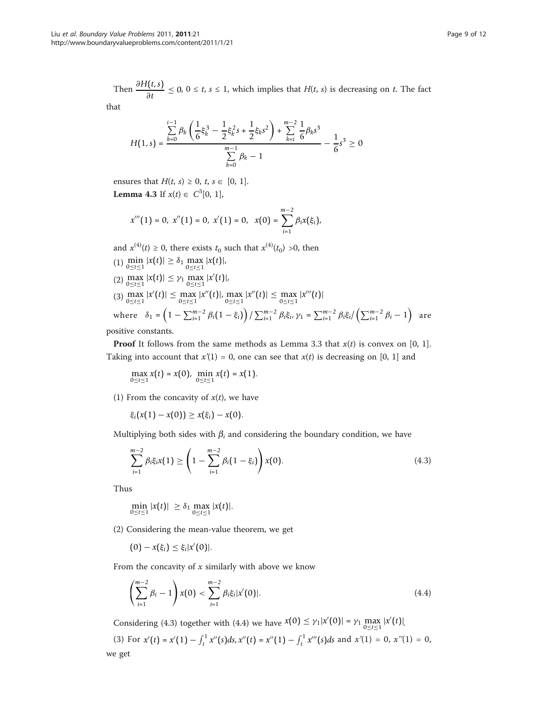Then  $\frac{\partial H(t,s)}{\partial t} \leq 0$ ,  $0 \leq t$ ,  $s \leq 1$ , which implies that  $H(t, s)$  is decreasing on t. The fact

that

$$
H(1,s) = \frac{\sum\limits_{k=0}^{i-1} \beta_k \left( \frac{1}{6} \xi_k^3 - \frac{1}{2} \xi_k^2 s + \frac{1}{2} \xi_k s^2 \right) + \sum\limits_{k=i}^{m-2} \frac{1}{6} \beta_k s^3}{\sum\limits_{k=0}^{m-1} \beta_k - 1} - \frac{1}{6} s^3 \ge 0
$$

ensures that  $H(t, s) \geq 0$ ,  $t, s \in [0, 1]$ . **Lemma 4.3** If  $x(t) \in C^3[0, 1]$ ,

$$
x'''(1) = 0, \ x''(1) = 0, \ x'(1) = 0, \ x(0) = \sum_{i=1}^{m-2} \beta_i x(\xi_i),
$$

and  $x^{(4)}(t) \ge 0$ , there exists  $t_0$  such that  $x^{(4)}(t_0) > 0$ , then (1)  $\min_{0 \le t \le 1} |x(t)| \ge \delta_1 \max_{0 \le t \le 1} |x(t)|$ , (2)  $\max_{0 \le t \le 1} |x(t)| \le \gamma_1 \max_{0 \le t \le 1} |x'(t)|$ , (3)  $\max_{0 \le t \le 1} |x'(t)| \le \max_{0 \le t \le 1} |x''(t)|$ ,  $\max_{0 \le t \le 1} |x''(t)| \le \max_{0 \le t \le 1} |x'''(t)|$ 

where 
$$
\delta_1 = (1 - \sum_{i=1}^{m-2} \beta_i (1 - \xi_i)) / \sum_{i=1}^{m-2} \beta_i \xi_i
$$
,  $\gamma_1 = \sum_{i=1}^{m-2} \beta_i \xi_i / (\sum_{i=1}^{m-2} \beta_i - 1)$  are positive constants.

positive constants.

**Proof** It follows from the same methods as Lemma 3.3 that  $x(t)$  is convex on [0, 1]. Taking into account that  $x'(1) = 0$ , one can see that  $x(t)$  is decreasing on [0, 1] and

$$
\max_{0 \leq t \leq 1} x(t) = x(0), \; \min_{0 \leq t \leq 1} x(t) = x(1).
$$

(1) From the concavity of  $x(t)$ , we have

 $\xi_i(x(1) - x(0)) \geq x(\xi_i) - x(0).$ 

Multiplying both sides with  $\beta_i$  and considering the boundary condition, we have

$$
\sum_{i=1}^{m-2} \beta_i \xi_i x(1) \ge \left(1 - \sum_{i=1}^{m-2} \beta_i (1 - \xi_i) \right) x(0).
$$
 (4.3)

Thus

$$
\min_{0 \le t \le 1} |x(t)| \ge \delta_1 \max_{0 \le t \le 1} |x(t)|.
$$

(2) Considering the mean-value theorem, we get

 $(0) - x(\xi_i) \leq \xi_i |x'(0)|.$ 

From the concavity of  $x$  similarly with above we know

$$
\left(\sum_{i=1}^{m-2}\beta_i-1\right)x(0)<\sum_{i=1}^{m-2}\beta_i\xi_i|x'(0)|.\tag{4.4}
$$

Considering (4.3) together with (4.4) we have  $x(0) \leq \gamma_1 |x'(0)| = \gamma_1 \max_{0 \leq t \leq 1} |x'(t)|$ .

(3) For  $x'(t) = x'(1) - \int_t^1 x''(s)ds$ ,  $x''(t) = x''(1) - \int_t^1 x'''(s)ds$  and  $x'(1) = 0$ ,  $x''(1) = 0$ , we get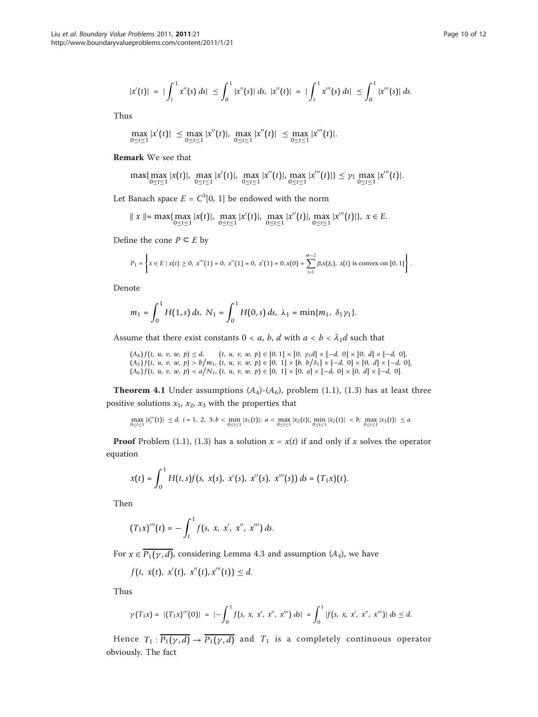$$
|x'(t)| = |\int_t^1 x''(s) \, ds| \leq \int_0^1 |x''(s)| \, ds, \ |x''(t)| = |\int_t^1 x'''(s) \, ds| \leq \int_0^1 |x'''(s)| \, ds.
$$

Thus

$$
\max_{0 \leq t \leq 1} |x'(t)| \leq \max_{0 \leq t \leq 1} |x''(t)|, \max_{0 \leq t \leq 1} |x''(t)| \leq \max_{0 \leq t \leq 1} |x'''(t)|.
$$

Remark We see that

$$
\max\{\max_{0\leq t\leq 1}|x(t)|,\max_{0\leq t\leq 1}|x'(t)|,\max_{0\leq t\leq 1}|x''(t)|,\max_{0\leq t\leq 1}|x'''(t)|\}\leq \gamma_1\max_{0\leq t\leq 1}|x'''(t)|.
$$

Let Banach space  $E = C^3[0, 1]$  be endowed with the norm

$$
\| x \| = \max \{ \max_{0 \le t \le 1} |x(t)|, \max_{0 \le t \le 1} |x'(t)|, \max_{0 \le t \le 1} |x''(t)|, \max_{0 \le t \le 1} |x'''(t)| \}, x \in E.
$$

Define the cone  $P \subseteq E$  by

$$
P_1 = \left\{ x \in E \mid x(t) \geq 0, \ x'''(1) = 0, \ x''(1) = 0, \ x'(1) = 0, x(0) = \sum_{i=1}^{m-2} \beta_i x(\xi_i), \ x(t) \text{ is convex on } [0,1] \right\}.
$$

Denote

$$
m_1 = \int_0^1 H(1,s) \, ds, \ N_1 = \int_0^1 H(0,s) \, ds, \ \lambda_1 = \min\{m_1, \ \delta_1\gamma_1\}.
$$

Assume that there exist constants  $0 < a$ , b, d with  $a < b < \lambda_1 d$  such that

$$
\begin{array}{lll} (A_4) f(t, u, v, w, p) \le d, & (t, u, v, w, p) \in [0, 1] \times [0, \gamma_1 d] \times [-d, 0] \times [0, d] \times [-d, 0],\\ (A_5) f(t, u, v, w, p) > b/m_1, (t, u, v, w, p) \in [0, 1] \times [b, b/\delta_1] \times [-d, 0] \times [0, d] \times [-d, 0],\\ (A_6) f(t, u, v, w, p) < a/N_1, (t, u, v, w, p) \in [0, 1] \times [0, a] \times [-d, 0] \times [0, d] \times [-d, 0]. \end{array}
$$

**Theorem 4.1** Under assumptions  $(A_4)$ - $(A_6)$ , problem (1.1), (1.3) has at least three positive solutions  $x_1$ ,  $x_2$ ,  $x_3$  with the properties that

$$
\max_{0 \le t \le 1} |x_i'''(t)| \le d, \ i = 1, 2, 3; b < \min_{0 \le t \le 1} |x_1(t)|; \ a < \max_{0 \le t \le 1} |x_2(t)|, \ \min_{0 \le t \le 1} |x_2(t)| < b; \ \max_{0 \le t \le 1} |x_3(t)| \le a.
$$

**Proof** Problem (1.1), (1.3) has a solution  $x = x(t)$  if and only if x solves the operator equation

$$
x(t) = \int_0^1 H(t,s)f(s, x(s), x'(s), x''(s), x'''(s)) ds = (T_1x)(t).
$$

Then

$$
(T_1x)'''(t)=-\int_t^1 f(s, x, x', x'', x''') ds.
$$

For  $x \in \overline{P_1(\gamma, d)}$ , considering Lemma 4.3 and assumption  $(A_4)$ , we have

$$
f(t, x(t), x'(t), x''(t), x'''(t)) \leq d.
$$

Thus

$$
\gamma(T_1x) = |(T_1x)'''(0)| = |-\int_0^1 f(s, x, x', x'', x''') ds| = \int_0^1 |f(s, x, x', x'', x''')| ds \leq d.
$$

Hence  $T_1: \overline{P_1(\gamma, d)} \to \overline{P_1(\gamma, d)}$  and  $T_1$  is a completely continuous operator obviously. The fact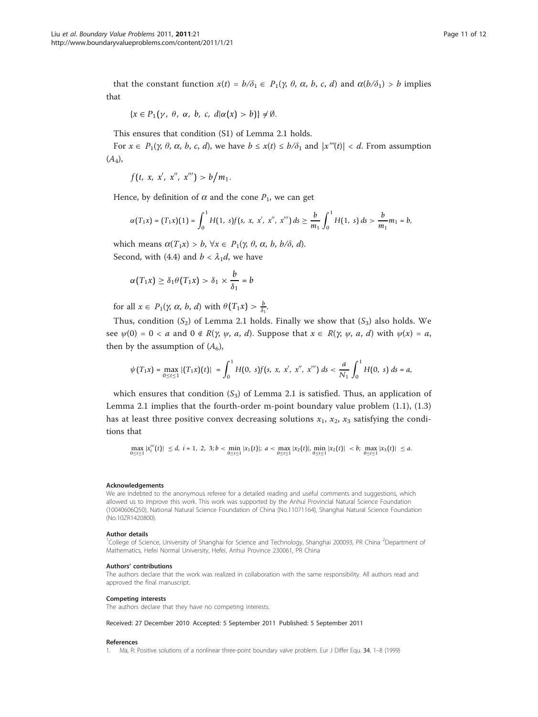<span id="page-10-0"></span>that the constant function  $x(t) = b/\delta_1 \in P_1(\gamma, \theta, \alpha, b, c, d)$  and  $\alpha(b/\delta_1) > b$  implies that

$$
\{x\in P_1(\gamma,\ \theta,\ \alpha,\ b,\ c,\ d|\alpha(x)>b)\}\neq\emptyset.
$$

This ensures that condition (S1) of Lemma 2.1 holds.

For  $x \in P_1(\gamma, \theta, \alpha, b, c, d)$ , we have  $b \leq x(t) \leq b/\delta_1$  and  $|x'''(t)| < d$ . From assumption  $(A_4)$ ,

$$
f(t, x, x', x'', x''') > b/m_1.
$$

Hence, by definition of  $\alpha$  and the cone  $P_1$ , we can get

$$
\alpha(T_1x)=(T_1x)(1)=\int_0^1H(1,\ s)f(s,\ x,\ x',\ x'',\ x''')\ ds\geq\frac{b}{m_1}\int_0^1H(1,\ s)\ ds>\frac{b}{m_1}m_1=b,
$$

which means  $\alpha(T_1x) > b$ ,  $\forall x \in P_1(\gamma, \theta, \alpha, b, b/\delta, d)$ . Second, with (4.4) and  $b < \lambda_1 d$ , we have

$$
\alpha(T_1x) \geq \delta_1\theta(T_1x) > \delta_1 \times \frac{b}{\delta_1} = b
$$

for all  $x \in P_1(\gamma, \alpha, b, d)$  with  $\theta(T_1 x) > \frac{b}{\delta_1}$ .

Thus, condition  $(S_2)$  of Lemma 2.1 holds. Finally we show that  $(S_3)$  also holds. We see  $\psi(0) = 0 < a$  and  $0 \notin R(\gamma, \psi, a, d)$ . Suppose that  $x \in R(\gamma, \psi, a, d)$  with  $\psi(x) = a$ , then by the assumption of  $(A_6)$ ,

$$
\psi(T_1x)=\max_{0\leq t\leq 1}|(T_1x)(t)|=\int_0^1H(0,\ s)f(s,\ x,\ x',\ x'',\ x''')\ ds<\frac{a}{N_1}\int_0^1H(0,\ s)\ ds=a,
$$

which ensures that condition  $(S_3)$  of Lemma 2.1 is satisfied. Thus, an application of Lemma 2.1 implies that the fourth-order m-point boundary value problem (1.1), (1.3) has at least three positive convex decreasing solutions  $x_1$ ,  $x_2$ ,  $x_3$  satisfying the conditions that

$$
\max_{0 \leq t \leq 1} |x''_i(t)| \leq d, \ i = 1, \ 2, \ 3; b < \min_{0 \leq t \leq 1} |x_1(t)|; \ a < \max_{0 \leq t \leq 1} |x_2(t)|, \ \min_{0 \leq t \leq 1} |x_2(t)| < b; \ \max_{0 \leq t \leq 1} |x_3(t)| \leq a.
$$

#### Acknowledgements

We are indebted to the anonymous referee for a detailed reading and useful comments and suggestions, which allowed us to improve this work. This work was supported by the Anhui Provincial Natural Science Foundation (10040606Q50), National Natural Science Foundation of China (No.11071164), Shanghai Natural Science Foundation (No.10ZR1420800).

#### Author details

<sup>1</sup>College of Science, University of Shanghai for Science and Technology, Shanghai 200093, PR China <sup>2</sup>Department of Mathematics, Hefei Normal University, Hefei, Anhui Province 230061, PR China

#### Authors' contributions

The authors declare that the work was realized in collaboration with the same responsibility. All authors read and approved the final manuscript.

#### Competing interests

The authors declare that they have no competing interests.

#### Received: 27 December 2010 Accepted: 5 September 2011 Published: 5 September 2011

#### References

1. Ma, R: Positive solutions of a nonlinear three-point boundary valve problem. Eur J Differ Equ. 34, 1–8 (1999)